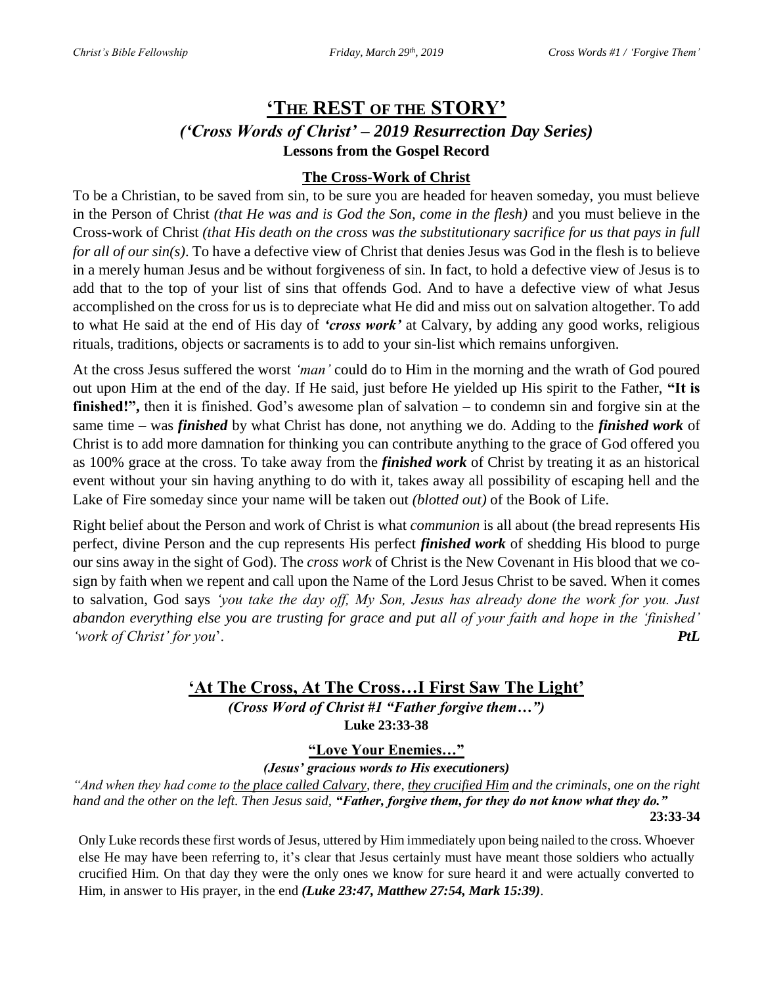# **'THE REST OF THE STORY'** *('Cross Words of Christ' – 2019 Resurrection Day Series)* **Lessons from the Gospel Record**

### **The Cross-Work of Christ**

To be a Christian, to be saved from sin, to be sure you are headed for heaven someday, you must believe in the Person of Christ *(that He was and is God the Son, come in the flesh)* and you must believe in the Cross-work of Christ *(that His death on the cross was the substitutionary sacrifice for us that pays in full for all of our sin(s)*. To have a defective view of Christ that denies Jesus was God in the flesh is to believe in a merely human Jesus and be without forgiveness of sin. In fact, to hold a defective view of Jesus is to add that to the top of your list of sins that offends God. And to have a defective view of what Jesus accomplished on the cross for us is to depreciate what He did and miss out on salvation altogether. To add to what He said at the end of His day of *'cross work'* at Calvary, by adding any good works, religious rituals, traditions, objects or sacraments is to add to your sin-list which remains unforgiven.

At the cross Jesus suffered the worst *'man'* could do to Him in the morning and the wrath of God poured out upon Him at the end of the day. If He said, just before He yielded up His spirit to the Father, **"It is finished!",** then it is finished. God's awesome plan of salvation – to condemn sin and forgive sin at the same time – was *finished* by what Christ has done, not anything we do. Adding to the *finished work* of Christ is to add more damnation for thinking you can contribute anything to the grace of God offered you as 100% grace at the cross. To take away from the *finished work* of Christ by treating it as an historical event without your sin having anything to do with it, takes away all possibility of escaping hell and the Lake of Fire someday since your name will be taken out *(blotted out)* of the Book of Life.

Right belief about the Person and work of Christ is what *communion* is all about (the bread represents His perfect, divine Person and the cup represents His perfect *finished work* of shedding His blood to purge our sins away in the sight of God). The *cross work* of Christ is the New Covenant in His blood that we cosign by faith when we repent and call upon the Name of the Lord Jesus Christ to be saved. When it comes to salvation, God says *'you take the day off, My Son, Jesus has already done the work for you. Just abandon everything else you are trusting for grace and put all of your faith and hope in the 'finished' 'work of Christ' for you*'. *PtL*

## **'At The Cross, At The Cross…I First Saw The Light'** *(Cross Word of Christ #1 "Father forgive them…")* **Luke 23:33-38**

**"Love Your Enemies…"**

*(Jesus' gracious words to His executioners)*

*"And when they had come to the place called Calvary, there, they crucified Him and the criminals, one on the right hand and the other on the left. Then Jesus said, "Father, forgive them, for they do not know what they do."*  **23:33-34**

Only Luke records these first words of Jesus, uttered by Him immediately upon being nailed to the cross. Whoever else He may have been referring to, it's clear that Jesus certainly must have meant those soldiers who actually crucified Him. On that day they were the only ones we know for sure heard it and were actually converted to Him, in answer to His prayer, in the end *(Luke 23:47, Matthew 27:54, Mark 15:39)*.